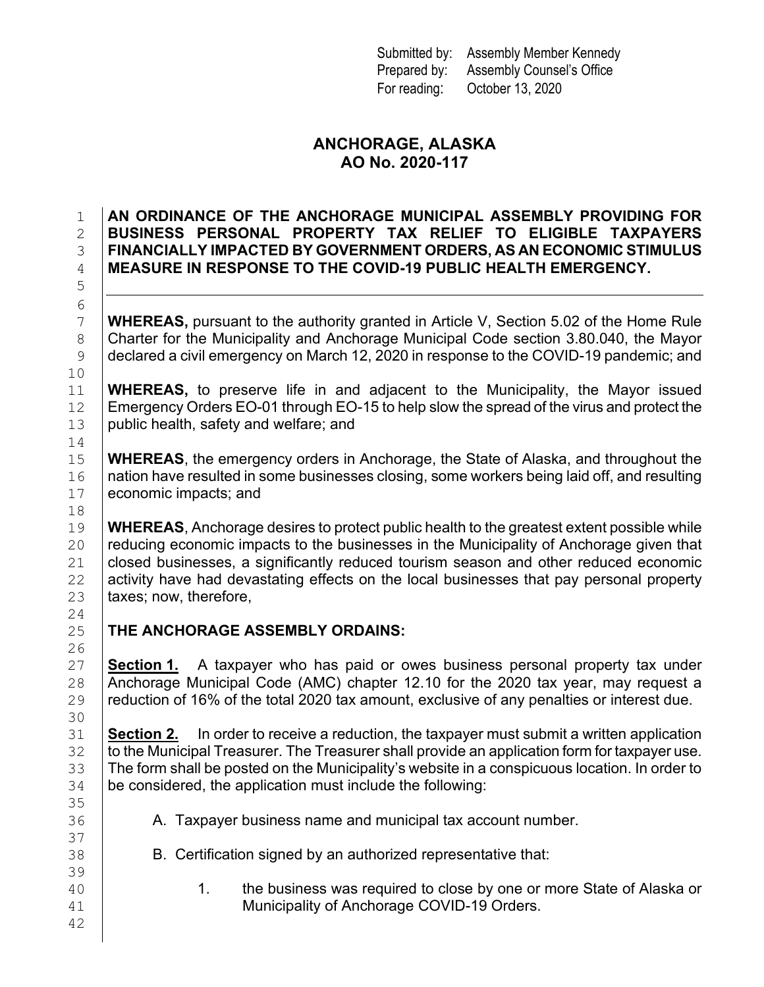Submitted by: Assembly Member Kennedy Prepared by: Assembly Counsel's Office For reading: October 13, 2020

## **ANCHORAGE, ALASKA AO No. 2020-117**

## 1 **AN ORDINANCE OF THE ANCHORAGE MUNICIPAL ASSEMBLY PROVIDING FOR**  2 **BUSINESS PERSONAL PROPERTY TAX RELIEF TO ELIGIBLE TAXPAYERS**  3 **FINANCIALLY IMPACTED BY GOVERNMENT ORDERS, AS AN ECONOMIC STIMULUS** 4 **MEASURE IN RESPONSE TO THE COVID-19 PUBLIC HEALTH EMERGENCY.**

7 **WHEREAS,** pursuant to the authority granted in Article V, Section 5.02 of the Home Rule 8 Charter for the Municipality and Anchorage Municipal Code section 3.80.040, the Mayor 8 Charter for the Municipality and Anchorage Municipal Code section 3.80.040, the Mayor<br>9 declared a civil emergency on March 12, 2020 in response to the COVID-19 pandemic; and declared a civil emergency on March 12, 2020 in response to the COVID-19 pandemic; and

11 **WHEREAS,** to preserve life in and adjacent to the Municipality, the Mayor issued Emergency Orders EO-01 through EO-15 to help slow the spread of the virus and protect the 12 Emergency Orders EO-01 through EO-15 to help slow the spread of the virus and protect the <br>13 public health, safety and welfare; and public health, safety and welfare; and

**WHEREAS**, the emergency orders in Anchorage, the State of Alaska, and throughout the 16 Ination have resulted in some businesses closing, some workers being laid off, and resulting 16 | nation have resulted in some businesses closing, some workers being laid off, and resulting<br>17 | economic impacts: and economic impacts; and

19 **WHEREAS**, Anchorage desires to protect public health to the greatest extent possible while<br>20 **Preducing economic impacts to the businesses in the Municipality of Anchorage given that** 20 **reducing economic impacts to the businesses in the Municipality of Anchorage given that**<br>21 **closed businesses, a significantly reduced tourism season and other reduced economic** 21 closed businesses, a significantly reduced tourism season and other reduced economic<br>22 activity have had devastating effects on the local businesses that pay personal property 22 activity have had devastating effects on the local businesses that pay personal property  $23$  taxes; now, therefore, taxes; now, therefore,

**THE ANCHORAGE ASSEMBLY ORDAINS:** 

5

6<br>7

10<br>11

14<br>15

18<br>19

 $\frac{24}{25}$ 

 $\frac{26}{27}$ 

30<br>31

35

37

39

42

27 **Section 1.** A taxpayer who has paid or owes business personal property tax under <br>28 Anchorage Municipal Code (AMC) chapter 12.10 for the 2020 tax year, may request a 28 Anchorage Municipal Code (AMC) chapter 12.10 for the 2020 tax year, may request a<br>29 reduction of 16% of the total 2020 tax amount, exclusive of any penalties or interest due. reduction of 16% of the total 2020 tax amount, exclusive of any penalties or interest due.

**Section 2.** In order to receive a reduction, the taxpayer must submit a written application<br>32 **to the Municipal Treasurer. The Treasurer shall provide an application form for taxpayer use.**  to the Municipal Treasurer. The Treasurer shall provide an application form for taxpayer use. The form shall be posted on the Municipality's website in a conspicuous location. In order to  $34$  be considered, the application must include the following: be considered, the application must include the following:

- 36 A. Taxpayer business name and municipal tax account number.
- 38 B. Certification signed by an authorized representative that:
- 40 1. the business was required to close by one or more State of Alaska or<br>41 **Municipality of Anchorage COVID-19 Orders**. Municipality of Anchorage COVID-19 Orders.